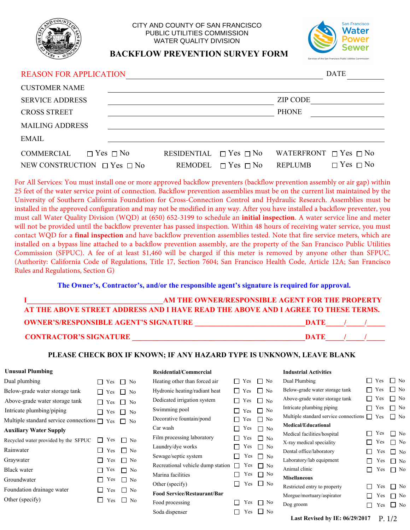

## CITY AND COUNTY OF SAN FRANCISCO PUBLIC UTILITIES COMMISSION WATER QUALITY DIVISION



# **BACKFLOW PREVENTION SURVEY FORM**

## REASON FOR APPLICATION DATE

| <b>CUSTOMER NAME</b>                                                        |                                  |                              |                                                   |                      |
|-----------------------------------------------------------------------------|----------------------------------|------------------------------|---------------------------------------------------|----------------------|
| <b>SERVICE ADDRESS</b>                                                      |                                  |                              | <b>ZIP CODE</b>                                   |                      |
| <b>CROSS STREET</b>                                                         |                                  |                              | <b>PHONE</b>                                      |                      |
| <b>MAILING ADDRESS</b>                                                      |                                  |                              |                                                   |                      |
| EMAIL                                                                       |                                  |                              |                                                   |                      |
| $\Box$ Yes $\Box$ No<br>COMMERCIAL<br>NEW CONSTRUCTION $\Box$ Yes $\Box$ No | RESIDENTIAL $\Box$ Yes $\Box$ No | REMODEL $\Box$ Yes $\Box$ No | WATERFRONT $\Box$ Yes $\Box$ No<br><b>REPLUMB</b> | $\Box$ Yes $\Box$ No |

For All Services: You must install one or more approved backflow preventers (backflow prevention assembly or air gap) within 25 feet of the water service point of connection. Backflow prevention assemblies must be on the current list maintained by the University of Southern California Foundation for Cross-Connection Control and Hydraulic Research. Assemblies must be installed in the approved configuration and may not be modified in any way. After you have installed a backflow preventer, you must call Water Quality Division (WQD) at (650) 652-3199 to schedule an **initial inspection**. A water service line and meter will not be provided until the backflow preventer has passed inspection. Within 48 hours of receiving water service, you must contact WQD for a **final inspection** and have backflow prevention assemblies tested. Note that fire service meters, which are installed on a bypass line attached to a backflow prevention assembly, are the property of the San Francisco Public Utilities Commission (SFPUC). A fee of at least \$1,460 will be charged if this meter is removed by anyone other than SFPUC. (Authority: California Code of Regulations, Title 17, Section 7604; San Francisco Health Code, Article 12A; San Francisco Rules and Regulations, Section G)

## **The Owner's, Contractor's, and/or the responsible agent's signature is required for approval.**

|                                                                                   | AM THE OWNER/RESPONSIBLE AGENT FOR THE PROPERTY |
|-----------------------------------------------------------------------------------|-------------------------------------------------|
| AT THE ABOVE STREET ADDRESS AND I HAVE READ THE ABOVE AND I AGREE TO THESE TERMS. |                                                 |
| <b>OWNER'S/RESPONSIBLE AGENT'S SIGNATURE</b>                                      | -DATE                                           |
| <b>CONTRACTOR'S SIGNATURE</b>                                                     | DATE                                            |

### **PLEASE CHECK BOX IF KNOWN; IF ANY HAZARD TYPE IS UNKNOWN, LEAVE BLANK**

### **Unusual Plumbing**

| Dual plumbing                                    | Yes        | $\Box$ No |                 |
|--------------------------------------------------|------------|-----------|-----------------|
| Below-grade water storage tank                   | l Yes      | l I No    |                 |
| Above-grade water storage tank                   | l Yes      |           | $\mathsf{L}$ No |
| Intricate plumbing/piping                        | Yes        | $\perp$   | No              |
| Multiple standard service connections $\Box$ Yes |            |           | l No            |
| <b>Auxiliary Water Supply</b>                    |            |           |                 |
| Recycled water provided by the SFPUC             | $\Box$ Yes |           | No              |
| Rainwater                                        | □ Yes      |           | $\Box$ No       |
| Graywater                                        | $\Box$ Yes |           | $\Box$ No       |
| Black water                                      | Yes        |           | No              |
| Groundwater                                      | $\top$ Yes |           | No              |
| Foundation drainage water                        | Yes        |           | N <sub>0</sub>  |
| Other (specify)                                  | Yes        |           | No              |
|                                                  |            |           |                 |

#### **Residential/Commercial**

| Heating other than forced air      | Yes        | N <sub>0</sub><br>$\mathbf{I}$ | Dual Pl        |
|------------------------------------|------------|--------------------------------|----------------|
| Hydronic heating/radiant heat      | $\top$ Yes | N <sub>0</sub>                 | Below-         |
| Dedicated irrigation system        | Yes        | $\Box$ No                      | Above-         |
| Swimming pool                      | $\Box$ Yes | N <sub>0</sub>                 | Intricate      |
| Decorative fountain/pond           | Yes        | N <sub>0</sub>                 | Multiple       |
| Car wash                           | Yes        | $\Box$ No                      | Medica         |
| Film processing laboratory         | Yes        | N <sub>0</sub>                 | Medical        |
| Laundry/dye works                  | Yes        | No                             | X-ray m        |
| Sewage/septic system               | Yes        | No                             | Dental o       |
| Recreational vehicle dump station  | Yes        | N <sub>0</sub>                 | Laborat        |
| Marina facilities                  | Yes        | No                             | Animal         |
| Other (specify)                    | Yes        | $\Box$ No                      | <b>Misella</b> |
| <b>Food Service/Restaurant/Bar</b> |            |                                | Restrict       |
| Food processing                    | Yes        | No                             | Morgue         |
|                                    | Yes        | No                             | Dog gro        |
| Soda dispenser                     |            |                                |                |

#### **Industrial Activities**

| No                  | Dual Plumbing                         | Yes    | No             |
|---------------------|---------------------------------------|--------|----------------|
| N <sub>0</sub>      | Below-grade water storage tank        | Yes    | N <sub>0</sub> |
| N <sub>0</sub>      | Above-grade water storage tank        | Yes    | No             |
| N <sub>0</sub>      | Intricate plumbing piping             | Yes    | No             |
| No                  | Multiple standard service connections | Yes    | No             |
| N <sub>0</sub>      | <b>Medical/Educational</b>            |        |                |
|                     | Medical facilities/hospital           | Yes    | No             |
| No<br>No            | X-ray medical speciality              | Yes    | No             |
|                     | Dental office/laboratory              | Yes    | No             |
| N <sub>0</sub>      | Laboratory/lab equipment              | Yes    | No             |
| No                  | Animal clinic                         | Yes    | No             |
| No                  | <b>Misellaneous</b>                   |        |                |
| 1<br>N <sub>0</sub> | Restricted entry to property          | Yes    | No             |
|                     | Morgue/mortuary/aspirator             | Yes    | No             |
| No                  | Dog groom                             | Yes    | N <sub>0</sub> |
| N <sub>0</sub>      |                                       |        |                |
|                     | Last Revised by IE: $06/29/2017$      | P. 1/2 |                |